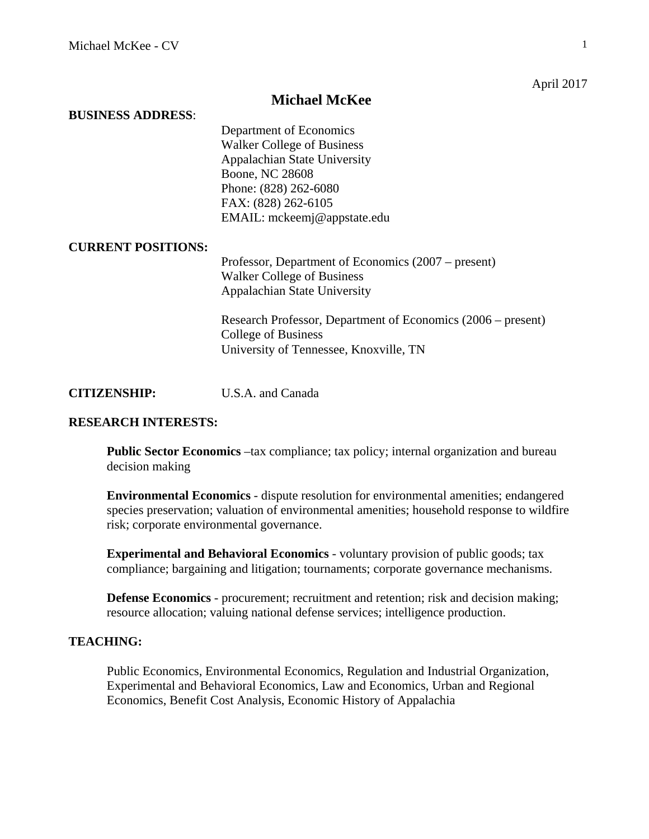April 2017

## **Michael McKee**

#### **BUSINESS ADDRESS**:

Department of Economics Walker College of Business Appalachian State University Boone, NC 28608 Phone: (828) 262-6080 FAX: (828) 262-6105 EMAIL: mckeemj@appstate.edu

#### **CURRENT POSITIONS:**

Professor, Department of Economics (2007 – present) Walker College of Business Appalachian State University

Research Professor, Department of Economics (2006 – present) College of Business University of Tennessee, Knoxville, TN

**CITIZENSHIP:** U.S.A. and Canada

### **RESEARCH INTERESTS:**

**Public Sector Economics** –tax compliance; tax policy; internal organization and bureau decision making

**Environmental Economics** - dispute resolution for environmental amenities; endangered species preservation; valuation of environmental amenities; household response to wildfire risk; corporate environmental governance.

**Experimental and Behavioral Economics** - voluntary provision of public goods; tax compliance; bargaining and litigation; tournaments; corporate governance mechanisms.

**Defense Economics** - procurement; recruitment and retention; risk and decision making; resource allocation; valuing national defense services; intelligence production.

## **TEACHING:**

Public Economics, Environmental Economics, Regulation and Industrial Organization, Experimental and Behavioral Economics, Law and Economics, Urban and Regional Economics, Benefit Cost Analysis, Economic History of Appalachia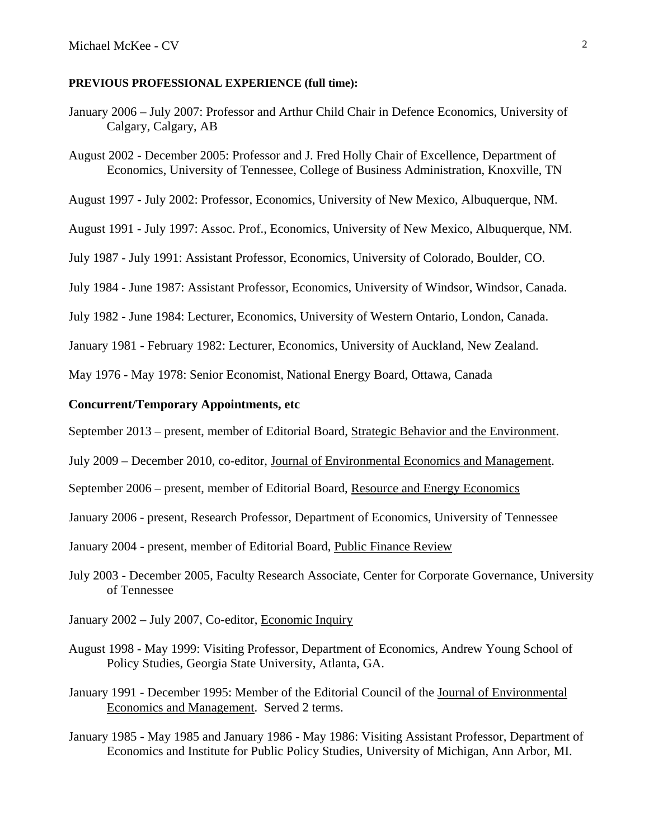#### **PREVIOUS PROFESSIONAL EXPERIENCE (full time):**

- January 2006 July 2007: Professor and Arthur Child Chair in Defence Economics, University of Calgary, Calgary, AB
- August 2002 December 2005: Professor and J. Fred Holly Chair of Excellence, Department of Economics, University of Tennessee, College of Business Administration, Knoxville, TN

August 1997 - July 2002: Professor, Economics, University of New Mexico, Albuquerque, NM.

August 1991 - July 1997: Assoc. Prof., Economics, University of New Mexico, Albuquerque, NM.

July 1987 - July 1991: Assistant Professor, Economics, University of Colorado, Boulder, CO.

July 1984 - June 1987: Assistant Professor, Economics, University of Windsor, Windsor, Canada.

July 1982 - June 1984: Lecturer, Economics, University of Western Ontario, London, Canada.

January 1981 - February 1982: Lecturer, Economics, University of Auckland, New Zealand.

May 1976 - May 1978: Senior Economist, National Energy Board, Ottawa, Canada

#### **Concurrent/Temporary Appointments, etc**

September 2013 – present, member of Editorial Board, Strategic Behavior and the Environment.

July 2009 – December 2010, co-editor, Journal of Environmental Economics and Management.

September 2006 – present, member of Editorial Board, Resource and Energy Economics

January 2006 - present, Research Professor, Department of Economics, University of Tennessee

January 2004 - present, member of Editorial Board, Public Finance Review

- July 2003 December 2005, Faculty Research Associate, Center for Corporate Governance, University of Tennessee
- January 2002 July 2007, Co-editor, Economic Inquiry
- August 1998 May 1999: Visiting Professor, Department of Economics, Andrew Young School of Policy Studies, Georgia State University, Atlanta, GA.
- January 1991 December 1995: Member of the Editorial Council of the Journal of Environmental Economics and Management. Served 2 terms.
- January 1985 May 1985 and January 1986 May 1986: Visiting Assistant Professor, Department of Economics and Institute for Public Policy Studies, University of Michigan, Ann Arbor, MI.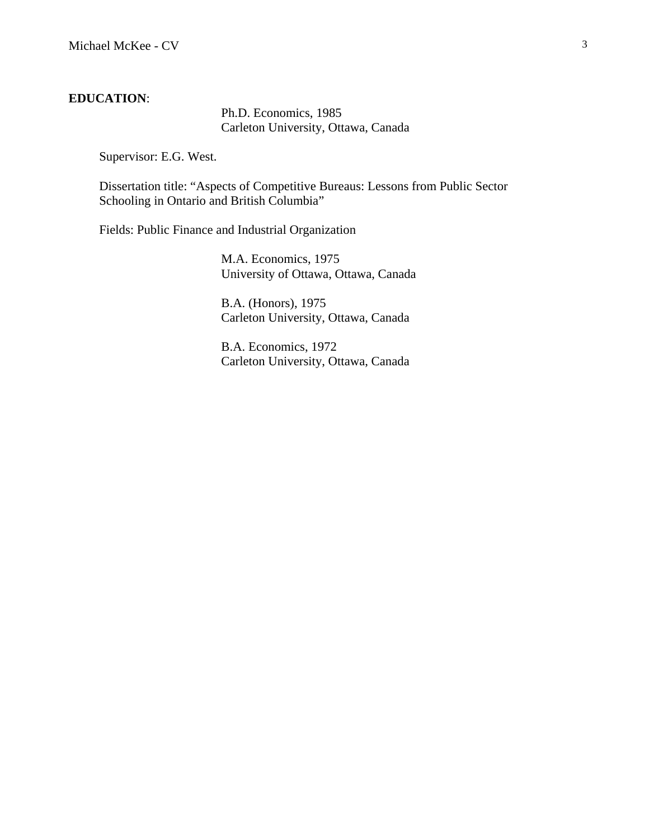#### **EDUCATION**:

Ph.D. Economics, 1985 Carleton University, Ottawa, Canada

Supervisor: E.G. West.

Dissertation title: "Aspects of Competitive Bureaus: Lessons from Public Sector Schooling in Ontario and British Columbia"

Fields: Public Finance and Industrial Organization

M.A. Economics, 1975 University of Ottawa, Ottawa, Canada

B.A. (Honors), 1975 Carleton University, Ottawa, Canada

B.A. Economics, 1972 Carleton University, Ottawa, Canada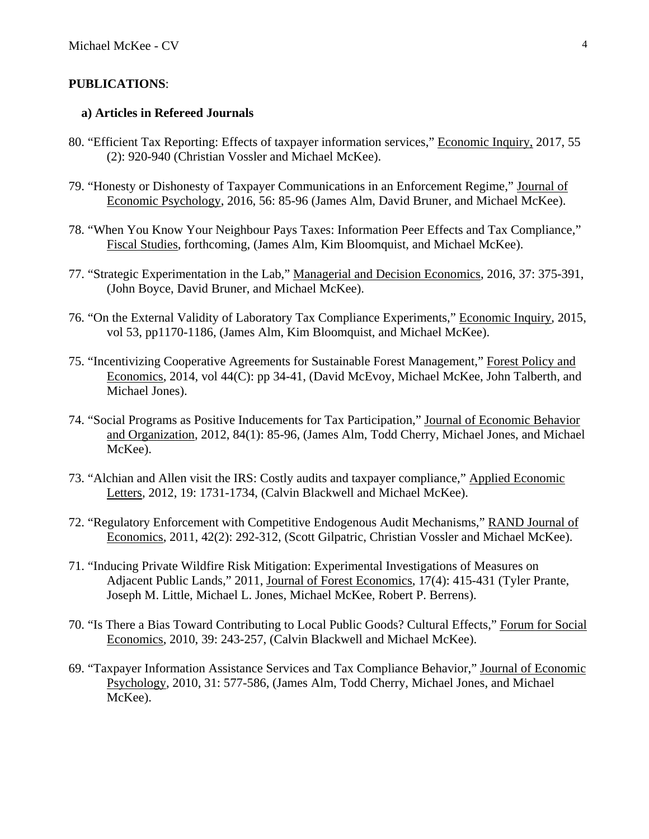### **PUBLICATIONS**:

### **a) Articles in Refereed Journals**

- 80. "Efficient Tax Reporting: Effects of taxpayer information services," Economic Inquiry, 2017, 55 (2): 920-940 (Christian Vossler and Michael McKee).
- 79. "Honesty or Dishonesty of Taxpayer Communications in an Enforcement Regime," Journal of Economic Psychology, 2016, 56: 85-96 (James Alm, David Bruner, and Michael McKee).
- 78. "When You Know Your Neighbour Pays Taxes: Information Peer Effects and Tax Compliance," Fiscal Studies, forthcoming, (James Alm, Kim Bloomquist, and Michael McKee).
- 77. "Strategic Experimentation in the Lab," Managerial and Decision Economics, 2016, 37: 375-391, (John Boyce, David Bruner, and Michael McKee).
- 76. "On the External Validity of Laboratory Tax Compliance Experiments," Economic Inquiry, 2015, vol 53, pp1170-1186, (James Alm, Kim Bloomquist, and Michael McKee).
- 75. "Incentivizing Cooperative Agreements for Sustainable Forest Management," Forest Policy and Economics, 2014, vol 44(C): pp 34-41, (David McEvoy, Michael McKee, John Talberth, and Michael Jones).
- 74. "Social Programs as Positive Inducements for Tax Participation," Journal of Economic Behavior and Organization, 2012, 84(1): 85-96, (James Alm, Todd Cherry, Michael Jones, and Michael McKee).
- 73. "Alchian and Allen visit the IRS: Costly audits and taxpayer compliance," Applied Economic Letters, 2012, 19: 1731-1734, (Calvin Blackwell and Michael McKee).
- 72. "Regulatory Enforcement with Competitive Endogenous Audit Mechanisms," RAND Journal of Economics, 2011, 42(2): 292-312, (Scott Gilpatric, Christian Vossler and Michael McKee).
- 71. "Inducing Private Wildfire Risk Mitigation: Experimental Investigations of Measures on Adjacent Public Lands," 2011, Journal of Forest Economics, 17(4): 415-431 (Tyler Prante, Joseph M. Little, Michael L. Jones, Michael McKee, Robert P. Berrens).
- 70. "Is There a Bias Toward Contributing to Local Public Goods? Cultural Effects," Forum for Social Economics, 2010, 39: 243-257, (Calvin Blackwell and Michael McKee).
- 69. "Taxpayer Information Assistance Services and Tax Compliance Behavior," Journal of Economic Psychology, 2010, 31: 577-586, (James Alm, Todd Cherry, Michael Jones, and Michael McKee).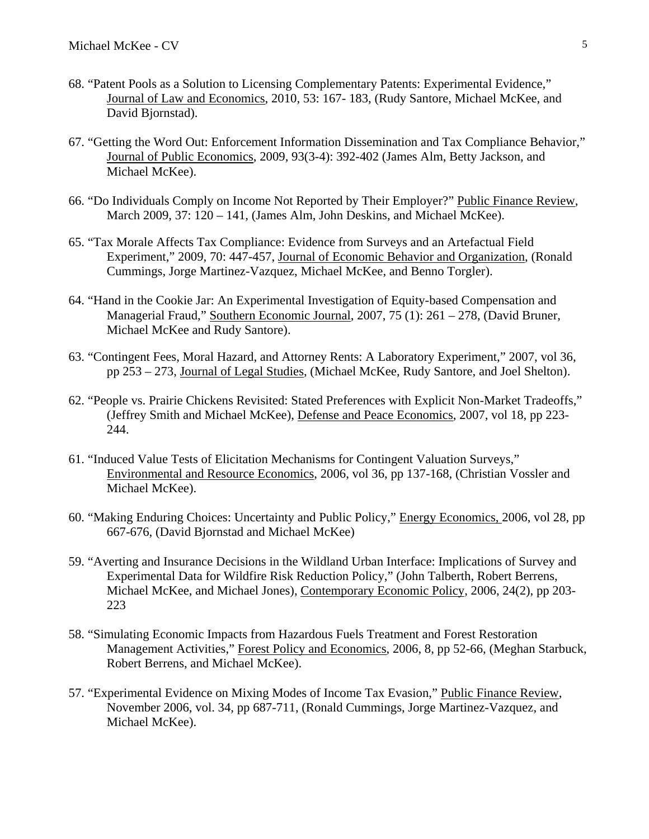- 68. "Patent Pools as a Solution to Licensing Complementary Patents: Experimental Evidence," Journal of Law and Economics, 2010, 53: 167- 183, (Rudy Santore, Michael McKee, and David Bjornstad).
- 67. "Getting the Word Out: Enforcement Information Dissemination and Tax Compliance Behavior," Journal of Public Economics, 2009, 93(3-4): 392-402 (James Alm, Betty Jackson, and Michael McKee).
- 66. "Do Individuals Comply on Income Not Reported by Their Employer?" Public Finance Review, March 2009, 37: 120 – 141, (James Alm, John Deskins, and Michael McKee).
- 65. "Tax Morale Affects Tax Compliance: Evidence from Surveys and an Artefactual Field Experiment," 2009, 70: 447-457, Journal of Economic Behavior and Organization, (Ronald Cummings, Jorge Martinez-Vazquez, Michael McKee, and Benno Torgler).
- 64. "Hand in the Cookie Jar: An Experimental Investigation of Equity-based Compensation and Managerial Fraud," Southern Economic Journal, 2007, 75 (1): 261 – 278, (David Bruner, Michael McKee and Rudy Santore).
- 63. "Contingent Fees, Moral Hazard, and Attorney Rents: A Laboratory Experiment," 2007, vol 36, pp 253 – 273, Journal of Legal Studies, (Michael McKee, Rudy Santore, and Joel Shelton).
- 62. "People vs. Prairie Chickens Revisited: Stated Preferences with Explicit Non-Market Tradeoffs," (Jeffrey Smith and Michael McKee), Defense and Peace Economics, 2007, vol 18, pp 223- 244.
- 61. "Induced Value Tests of Elicitation Mechanisms for Contingent Valuation Surveys," Environmental and Resource Economics, 2006, vol 36, pp 137-168, (Christian Vossler and Michael McKee).
- 60. "Making Enduring Choices: Uncertainty and Public Policy," Energy Economics, 2006, vol 28, pp 667-676, (David Bjornstad and Michael McKee)
- 59. "Averting and Insurance Decisions in the Wildland Urban Interface: Implications of Survey and Experimental Data for Wildfire Risk Reduction Policy," (John Talberth, Robert Berrens, Michael McKee, and Michael Jones), Contemporary Economic Policy, 2006, 24(2), pp 203- 223
- 58. "Simulating Economic Impacts from Hazardous Fuels Treatment and Forest Restoration Management Activities," Forest Policy and Economics, 2006, 8, pp 52-66, (Meghan Starbuck, Robert Berrens, and Michael McKee).
- 57. "Experimental Evidence on Mixing Modes of Income Tax Evasion," Public Finance Review, November 2006, vol. 34, pp 687-711, (Ronald Cummings, Jorge Martinez-Vazquez, and Michael McKee).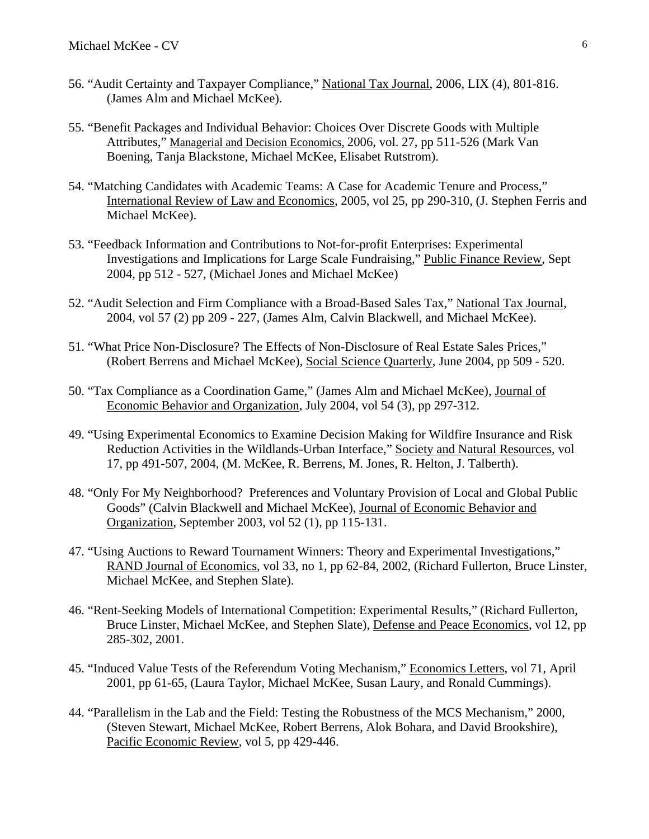- 56. "Audit Certainty and Taxpayer Compliance," National Tax Journal, 2006, LIX (4), 801-816. (James Alm and Michael McKee).
- 55. "Benefit Packages and Individual Behavior: Choices Over Discrete Goods with Multiple Attributes," Managerial and Decision Economics, 2006, vol. 27, pp 511-526 (Mark Van Boening, Tanja Blackstone, Michael McKee, Elisabet Rutstrom).
- 54. "Matching Candidates with Academic Teams: A Case for Academic Tenure and Process," International Review of Law and Economics, 2005, vol 25, pp 290-310, (J. Stephen Ferris and Michael McKee).
- 53. "Feedback Information and Contributions to Not-for-profit Enterprises: Experimental Investigations and Implications for Large Scale Fundraising," Public Finance Review, Sept 2004, pp 512 - 527, (Michael Jones and Michael McKee)
- 52. "Audit Selection and Firm Compliance with a Broad-Based Sales Tax," National Tax Journal, 2004, vol 57 (2) pp 209 - 227, (James Alm, Calvin Blackwell, and Michael McKee).
- 51. "What Price Non-Disclosure? The Effects of Non-Disclosure of Real Estate Sales Prices," (Robert Berrens and Michael McKee), Social Science Quarterly, June 2004, pp 509 - 520.
- 50. "Tax Compliance as a Coordination Game," (James Alm and Michael McKee), Journal of Economic Behavior and Organization, July 2004, vol 54 (3), pp 297-312.
- 49. "Using Experimental Economics to Examine Decision Making for Wildfire Insurance and Risk Reduction Activities in the Wildlands-Urban Interface," Society and Natural Resources, vol 17, pp 491-507, 2004, (M. McKee, R. Berrens, M. Jones, R. Helton, J. Talberth).
- 48. "Only For My Neighborhood? Preferences and Voluntary Provision of Local and Global Public Goods" (Calvin Blackwell and Michael McKee), Journal of Economic Behavior and Organization, September 2003, vol 52 (1), pp 115-131.
- 47. "Using Auctions to Reward Tournament Winners: Theory and Experimental Investigations," RAND Journal of Economics, vol 33, no 1, pp 62-84, 2002, (Richard Fullerton, Bruce Linster, Michael McKee, and Stephen Slate).
- 46. "Rent-Seeking Models of International Competition: Experimental Results," (Richard Fullerton, Bruce Linster, Michael McKee, and Stephen Slate), Defense and Peace Economics, vol 12, pp 285-302, 2001.
- 45. "Induced Value Tests of the Referendum Voting Mechanism," Economics Letters, vol 71, April 2001, pp 61-65, (Laura Taylor, Michael McKee, Susan Laury, and Ronald Cummings).
- 44. "Parallelism in the Lab and the Field: Testing the Robustness of the MCS Mechanism," 2000, (Steven Stewart, Michael McKee, Robert Berrens, Alok Bohara, and David Brookshire), Pacific Economic Review, vol 5, pp 429-446.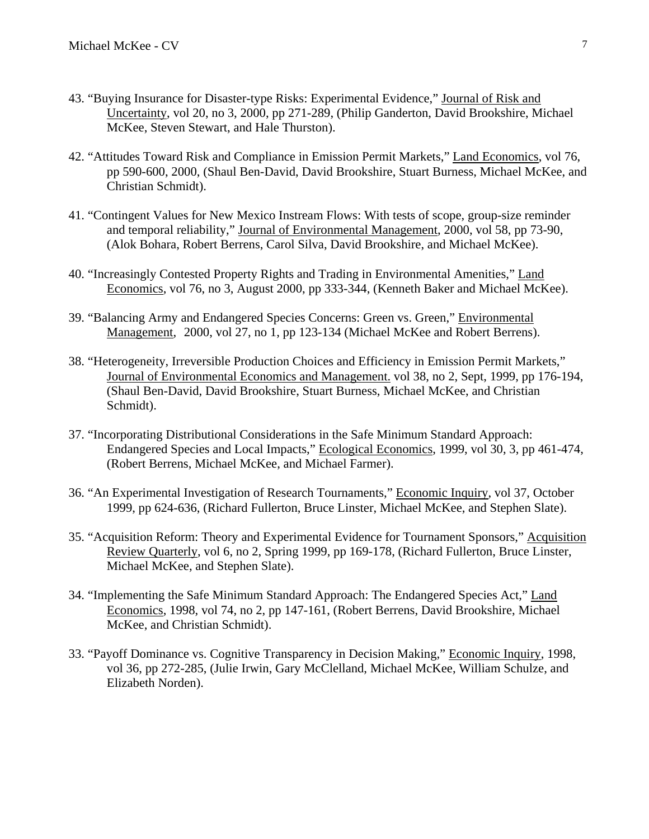- 43. "Buying Insurance for Disaster-type Risks: Experimental Evidence," Journal of Risk and Uncertainty, vol 20, no 3, 2000, pp 271-289, (Philip Ganderton, David Brookshire, Michael McKee, Steven Stewart, and Hale Thurston).
- 42. "Attitudes Toward Risk and Compliance in Emission Permit Markets," Land Economics, vol 76, pp 590-600, 2000, (Shaul Ben-David, David Brookshire, Stuart Burness, Michael McKee, and Christian Schmidt).
- 41. "Contingent Values for New Mexico Instream Flows: With tests of scope, group-size reminder and temporal reliability," Journal of Environmental Management, 2000, vol 58, pp 73-90, (Alok Bohara, Robert Berrens, Carol Silva, David Brookshire, and Michael McKee).
- 40. "Increasingly Contested Property Rights and Trading in Environmental Amenities," Land Economics, vol 76, no 3, August 2000, pp 333-344, (Kenneth Baker and Michael McKee).
- 39. "Balancing Army and Endangered Species Concerns: Green vs. Green," Environmental Management, 2000, vol 27, no 1, pp 123-134 (Michael McKee and Robert Berrens).
- 38. "Heterogeneity, Irreversible Production Choices and Efficiency in Emission Permit Markets," Journal of Environmental Economics and Management. vol 38, no 2, Sept, 1999, pp 176-194, (Shaul Ben-David, David Brookshire, Stuart Burness, Michael McKee, and Christian Schmidt).
- 37. "Incorporating Distributional Considerations in the Safe Minimum Standard Approach: Endangered Species and Local Impacts," Ecological Economics, 1999, vol 30, 3, pp 461-474, (Robert Berrens, Michael McKee, and Michael Farmer).
- 36. "An Experimental Investigation of Research Tournaments," Economic Inquiry, vol 37, October 1999, pp 624-636, (Richard Fullerton, Bruce Linster, Michael McKee, and Stephen Slate).
- 35. "Acquisition Reform: Theory and Experimental Evidence for Tournament Sponsors," Acquisition Review Quarterly, vol 6, no 2, Spring 1999, pp 169-178, (Richard Fullerton, Bruce Linster, Michael McKee, and Stephen Slate).
- 34. "Implementing the Safe Minimum Standard Approach: The Endangered Species Act," Land Economics, 1998, vol 74, no 2, pp 147-161, (Robert Berrens, David Brookshire, Michael McKee, and Christian Schmidt).
- 33. "Payoff Dominance vs. Cognitive Transparency in Decision Making," Economic Inquiry, 1998, vol 36, pp 272-285, (Julie Irwin, Gary McClelland, Michael McKee, William Schulze, and Elizabeth Norden).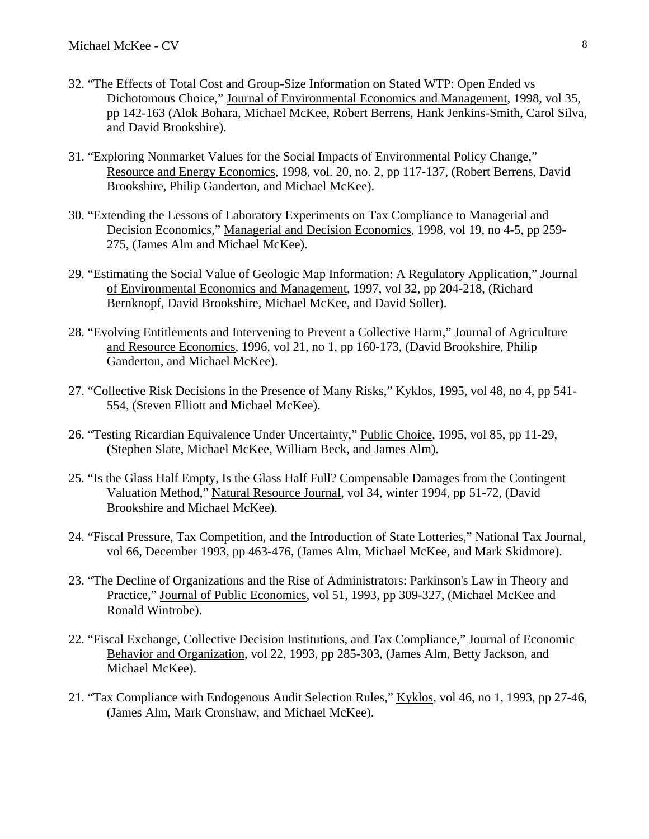- 32. "The Effects of Total Cost and Group-Size Information on Stated WTP: Open Ended vs Dichotomous Choice," Journal of Environmental Economics and Management, 1998, vol 35, pp 142-163 (Alok Bohara, Michael McKee, Robert Berrens, Hank Jenkins-Smith, Carol Silva, and David Brookshire).
- 31. "Exploring Nonmarket Values for the Social Impacts of Environmental Policy Change," Resource and Energy Economics, 1998, vol. 20, no. 2, pp 117-137, (Robert Berrens, David Brookshire, Philip Ganderton, and Michael McKee).
- 30. "Extending the Lessons of Laboratory Experiments on Tax Compliance to Managerial and Decision Economics," Managerial and Decision Economics, 1998, vol 19, no 4-5, pp 259- 275, (James Alm and Michael McKee).
- 29. "Estimating the Social Value of Geologic Map Information: A Regulatory Application," Journal of Environmental Economics and Management, 1997, vol 32, pp 204-218, (Richard Bernknopf, David Brookshire, Michael McKee, and David Soller).
- 28. "Evolving Entitlements and Intervening to Prevent a Collective Harm," Journal of Agriculture and Resource Economics, 1996, vol 21, no 1, pp 160-173, (David Brookshire, Philip Ganderton, and Michael McKee).
- 27. "Collective Risk Decisions in the Presence of Many Risks," Kyklos, 1995, vol 48, no 4, pp 541- 554, (Steven Elliott and Michael McKee).
- 26. "Testing Ricardian Equivalence Under Uncertainty," Public Choice, 1995, vol 85, pp 11-29, (Stephen Slate, Michael McKee, William Beck, and James Alm).
- 25. "Is the Glass Half Empty, Is the Glass Half Full? Compensable Damages from the Contingent Valuation Method," Natural Resource Journal, vol 34, winter 1994, pp 51-72, (David Brookshire and Michael McKee).
- 24. "Fiscal Pressure, Tax Competition, and the Introduction of State Lotteries," National Tax Journal, vol 66, December 1993, pp 463-476, (James Alm, Michael McKee, and Mark Skidmore).
- 23. "The Decline of Organizations and the Rise of Administrators: Parkinson's Law in Theory and Practice," Journal of Public Economics, vol 51, 1993, pp 309-327, (Michael McKee and Ronald Wintrobe).
- 22. "Fiscal Exchange, Collective Decision Institutions, and Tax Compliance," Journal of Economic Behavior and Organization, vol 22, 1993, pp 285-303, (James Alm, Betty Jackson, and Michael McKee).
- 21. "Tax Compliance with Endogenous Audit Selection Rules," Kyklos, vol 46, no 1, 1993, pp 27-46, (James Alm, Mark Cronshaw, and Michael McKee).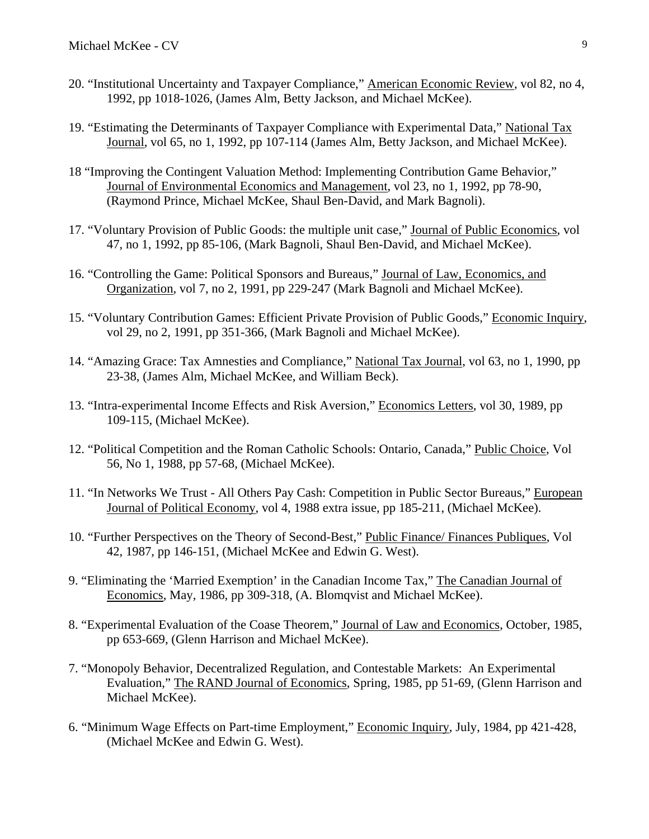- 20. "Institutional Uncertainty and Taxpayer Compliance," American Economic Review, vol 82, no 4, 1992, pp 1018-1026, (James Alm, Betty Jackson, and Michael McKee).
- 19. "Estimating the Determinants of Taxpayer Compliance with Experimental Data," National Tax Journal, vol 65, no 1, 1992, pp 107-114 (James Alm, Betty Jackson, and Michael McKee).
- 18 "Improving the Contingent Valuation Method: Implementing Contribution Game Behavior," Journal of Environmental Economics and Management, vol 23, no 1, 1992, pp 78-90, (Raymond Prince, Michael McKee, Shaul Ben-David, and Mark Bagnoli).
- 17. "Voluntary Provision of Public Goods: the multiple unit case," Journal of Public Economics, vol 47, no 1, 1992, pp 85-106, (Mark Bagnoli, Shaul Ben-David, and Michael McKee).
- 16. "Controlling the Game: Political Sponsors and Bureaus," Journal of Law, Economics, and Organization, vol 7, no 2, 1991, pp 229-247 (Mark Bagnoli and Michael McKee).
- 15. "Voluntary Contribution Games: Efficient Private Provision of Public Goods," Economic Inquiry, vol 29, no 2, 1991, pp 351-366, (Mark Bagnoli and Michael McKee).
- 14. "Amazing Grace: Tax Amnesties and Compliance," National Tax Journal, vol 63, no 1, 1990, pp 23-38, (James Alm, Michael McKee, and William Beck).
- 13. "Intra-experimental Income Effects and Risk Aversion," Economics Letters, vol 30, 1989, pp 109-115, (Michael McKee).
- 12. "Political Competition and the Roman Catholic Schools: Ontario, Canada," Public Choice, Vol 56, No 1, 1988, pp 57-68, (Michael McKee).
- 11. "In Networks We Trust All Others Pay Cash: Competition in Public Sector Bureaus," European Journal of Political Economy, vol 4, 1988 extra issue, pp 185-211, (Michael McKee).
- 10. "Further Perspectives on the Theory of Second-Best," Public Finance/ Finances Publiques, Vol 42, 1987, pp 146-151, (Michael McKee and Edwin G. West).
- 9. "Eliminating the 'Married Exemption' in the Canadian Income Tax," The Canadian Journal of Economics, May, 1986, pp 309-318, (A. Blomqvist and Michael McKee).
- 8. "Experimental Evaluation of the Coase Theorem," Journal of Law and Economics, October, 1985, pp 653-669, (Glenn Harrison and Michael McKee).
- 7. "Monopoly Behavior, Decentralized Regulation, and Contestable Markets: An Experimental Evaluation," The RAND Journal of Economics, Spring, 1985, pp 51-69, (Glenn Harrison and Michael McKee).
- 6. "Minimum Wage Effects on Part-time Employment," Economic Inquiry, July, 1984, pp 421-428, (Michael McKee and Edwin G. West).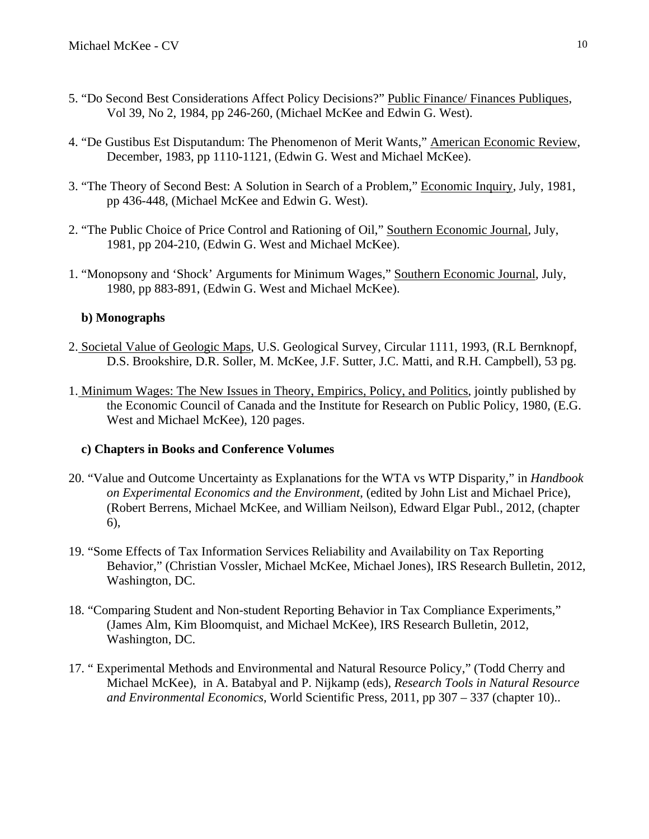- 5. "Do Second Best Considerations Affect Policy Decisions?" Public Finance/ Finances Publiques, Vol 39, No 2, 1984, pp 246-260, (Michael McKee and Edwin G. West).
- 4. "De Gustibus Est Disputandum: The Phenomenon of Merit Wants," American Economic Review, December, 1983, pp 1110-1121, (Edwin G. West and Michael McKee).
- 3. "The Theory of Second Best: A Solution in Search of a Problem," Economic Inquiry, July, 1981, pp 436-448, (Michael McKee and Edwin G. West).
- 2. "The Public Choice of Price Control and Rationing of Oil," Southern Economic Journal, July, 1981, pp 204-210, (Edwin G. West and Michael McKee).
- 1. "Monopsony and 'Shock' Arguments for Minimum Wages," Southern Economic Journal, July, 1980, pp 883-891, (Edwin G. West and Michael McKee).

### **b) Monographs**

- 2. Societal Value of Geologic Maps, U.S. Geological Survey, Circular 1111, 1993, (R.L Bernknopf, D.S. Brookshire, D.R. Soller, M. McKee, J.F. Sutter, J.C. Matti, and R.H. Campbell), 53 pg.
- 1. Minimum Wages: The New Issues in Theory, Empirics, Policy, and Politics, jointly published by the Economic Council of Canada and the Institute for Research on Public Policy, 1980, (E.G. West and Michael McKee), 120 pages.

### **c) Chapters in Books and Conference Volumes**

- 20. "Value and Outcome Uncertainty as Explanations for the WTA vs WTP Disparity," in *Handbook on Experimental Economics and the Environment*, (edited by John List and Michael Price), (Robert Berrens, Michael McKee, and William Neilson), Edward Elgar Publ., 2012, (chapter 6),
- 19. "Some Effects of Tax Information Services Reliability and Availability on Tax Reporting Behavior," (Christian Vossler, Michael McKee, Michael Jones), IRS Research Bulletin, 2012, Washington, DC.
- 18. "Comparing Student and Non-student Reporting Behavior in Tax Compliance Experiments," (James Alm, Kim Bloomquist, and Michael McKee), IRS Research Bulletin, 2012, Washington, DC.
- 17. " Experimental Methods and Environmental and Natural Resource Policy," (Todd Cherry and Michael McKee), in A. Batabyal and P. Nijkamp (eds), *Research Tools in Natural Resource and Environmental Economics*, World Scientific Press, 2011, pp 307 – 337 (chapter 10)..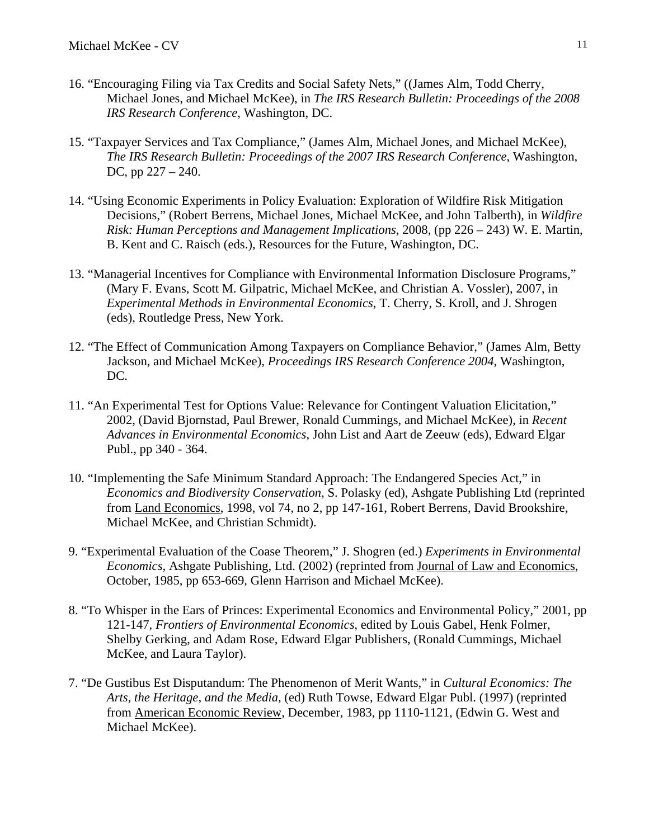- 16. "Encouraging Filing via Tax Credits and Social Safety Nets," ((James Alm, Todd Cherry, Michael Jones, and Michael McKee), in *The IRS Research Bulletin: Proceedings of the 2008 IRS Research Conference*, Washington, DC.
- 15. "Taxpayer Services and Tax Compliance," (James Alm, Michael Jones, and Michael McKee), *The IRS Research Bulletin: Proceedings of the 2007 IRS Research Conference*, Washington, DC, pp 227 – 240.
- 14. "Using Economic Experiments in Policy Evaluation: Exploration of Wildfire Risk Mitigation Decisions," (Robert Berrens, Michael Jones, Michael McKee, and John Talberth), in *Wildfire Risk: Human Perceptions and Management Implications*, 2008, (pp 226 – 243) W. E. Martin, B. Kent and C. Raisch (eds.), Resources for the Future, Washington, DC.
- 13. "Managerial Incentives for Compliance with Environmental Information Disclosure Programs," (Mary F. Evans, Scott M. Gilpatric, Michael McKee, and Christian A. Vossler), 2007, in *Experimental Methods in Environmental Economics*, T. Cherry, S. Kroll, and J. Shrogen (eds), Routledge Press, New York.
- 12. "The Effect of Communication Among Taxpayers on Compliance Behavior," (James Alm, Betty Jackson, and Michael McKee), *Proceedings IRS Research Conference 2004*, Washington, DC.
- 11. "An Experimental Test for Options Value: Relevance for Contingent Valuation Elicitation," 2002, (David Bjornstad, Paul Brewer, Ronald Cummings, and Michael McKee), in *Recent Advances in Environmental Economics*, John List and Aart de Zeeuw (eds), Edward Elgar Publ., pp 340 - 364.
- 10. "Implementing the Safe Minimum Standard Approach: The Endangered Species Act," in *Economics and Biodiversity Conservation*, S. Polasky (ed), Ashgate Publishing Ltd (reprinted from Land Economics, 1998, vol 74, no 2, pp 147-161, Robert Berrens, David Brookshire, Michael McKee, and Christian Schmidt).
- 9. "Experimental Evaluation of the Coase Theorem," J. Shogren (ed.) *Experiments in Environmental Economics*, Ashgate Publishing, Ltd. (2002) (reprinted from Journal of Law and Economics, October, 1985, pp 653-669, Glenn Harrison and Michael McKee).
- 8. "To Whisper in the Ears of Princes: Experimental Economics and Environmental Policy," 2001, pp 121-147, *Frontiers of Environmental Economics*, edited by Louis Gabel, Henk Folmer, Shelby Gerking, and Adam Rose, Edward Elgar Publishers, (Ronald Cummings, Michael McKee, and Laura Taylor).
- 7. "De Gustibus Est Disputandum: The Phenomenon of Merit Wants," in *Cultural Economics: The Arts, the Heritage, and the Media*, (ed) Ruth Towse, Edward Elgar Publ. (1997) (reprinted from American Economic Review, December, 1983, pp 1110-1121, (Edwin G. West and Michael McKee).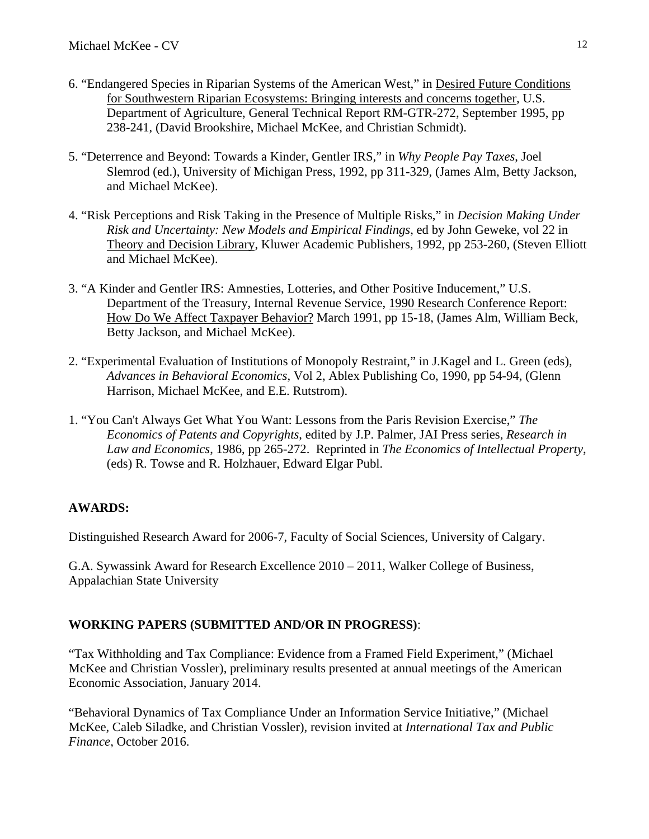- 6. "Endangered Species in Riparian Systems of the American West," in Desired Future Conditions for Southwestern Riparian Ecosystems: Bringing interests and concerns together, U.S. Department of Agriculture, General Technical Report RM-GTR-272, September 1995, pp 238-241, (David Brookshire, Michael McKee, and Christian Schmidt).
- 5. "Deterrence and Beyond: Towards a Kinder, Gentler IRS," in *Why People Pay Taxes*, Joel Slemrod (ed.), University of Michigan Press, 1992, pp 311-329, (James Alm, Betty Jackson, and Michael McKee).
- 4. "Risk Perceptions and Risk Taking in the Presence of Multiple Risks," in *Decision Making Under Risk and Uncertainty: New Models and Empirical Findings*, ed by John Geweke, vol 22 in Theory and Decision Library, Kluwer Academic Publishers, 1992, pp 253-260, (Steven Elliott and Michael McKee).
- 3. "A Kinder and Gentler IRS: Amnesties, Lotteries, and Other Positive Inducement," U.S. Department of the Treasury, Internal Revenue Service, 1990 Research Conference Report: How Do We Affect Taxpayer Behavior? March 1991, pp 15-18, (James Alm, William Beck, Betty Jackson, and Michael McKee).
- 2. "Experimental Evaluation of Institutions of Monopoly Restraint," in J.Kagel and L. Green (eds), *Advances in Behavioral Economics*, Vol 2, Ablex Publishing Co, 1990, pp 54-94, (Glenn Harrison, Michael McKee, and E.E. Rutstrom).
- 1. "You Can't Always Get What You Want: Lessons from the Paris Revision Exercise," *The Economics of Patents and Copyrights*, edited by J.P. Palmer, JAI Press series, *Research in Law and Economics*, 1986, pp 265-272. Reprinted in *The Economics of Intellectual Property*, (eds) R. Towse and R. Holzhauer, Edward Elgar Publ.

## **AWARDS:**

Distinguished Research Award for 2006-7, Faculty of Social Sciences, University of Calgary.

G.A. Sywassink Award for Research Excellence 2010 – 2011, Walker College of Business, Appalachian State University

## **WORKING PAPERS (SUBMITTED AND/OR IN PROGRESS)**:

"Tax Withholding and Tax Compliance: Evidence from a Framed Field Experiment," (Michael McKee and Christian Vossler), preliminary results presented at annual meetings of the American Economic Association, January 2014.

"Behavioral Dynamics of Tax Compliance Under an Information Service Initiative," (Michael McKee, Caleb Siladke, and Christian Vossler), revision invited at *International Tax and Public Finance*, October 2016.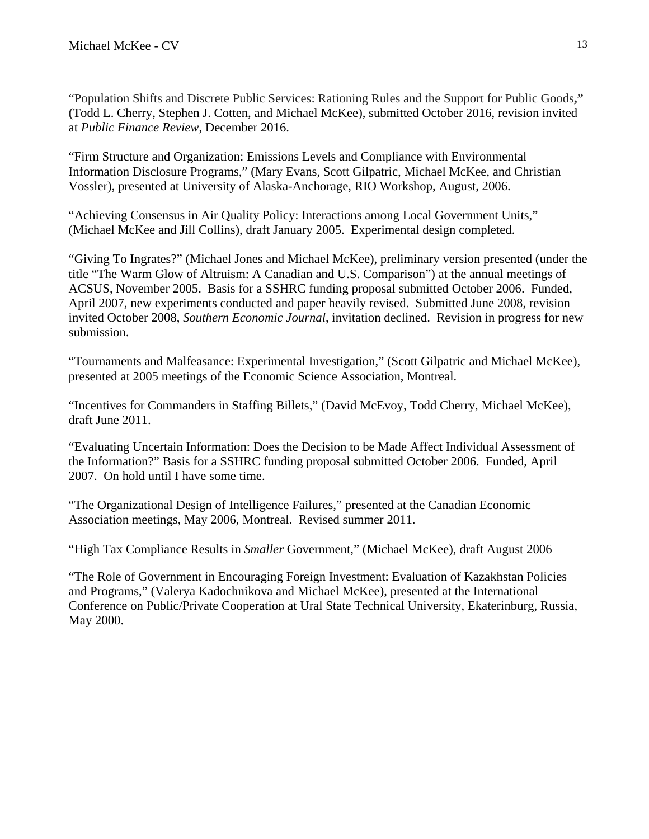"Population Shifts and Discrete Public Services: Rationing Rules and the Support for Public Goods**," (**Todd L. Cherry, Stephen J. Cotten, and Michael McKee), submitted October 2016, revision invited at *Public Finance Review*, December 2016.

"Firm Structure and Organization: Emissions Levels and Compliance with Environmental Information Disclosure Programs," (Mary Evans, Scott Gilpatric, Michael McKee, and Christian Vossler), presented at University of Alaska-Anchorage, RIO Workshop, August, 2006.

"Achieving Consensus in Air Quality Policy: Interactions among Local Government Units," (Michael McKee and Jill Collins), draft January 2005. Experimental design completed.

"Giving To Ingrates?" (Michael Jones and Michael McKee), preliminary version presented (under the title "The Warm Glow of Altruism: A Canadian and U.S. Comparison") at the annual meetings of ACSUS, November 2005. Basis for a SSHRC funding proposal submitted October 2006. Funded, April 2007, new experiments conducted and paper heavily revised. Submitted June 2008, revision invited October 2008, *Southern Economic Journal*, invitation declined. Revision in progress for new submission.

"Tournaments and Malfeasance: Experimental Investigation," (Scott Gilpatric and Michael McKee), presented at 2005 meetings of the Economic Science Association, Montreal.

"Incentives for Commanders in Staffing Billets," (David McEvoy, Todd Cherry, Michael McKee), draft June 2011.

"Evaluating Uncertain Information: Does the Decision to be Made Affect Individual Assessment of the Information?" Basis for a SSHRC funding proposal submitted October 2006. Funded, April 2007. On hold until I have some time.

"The Organizational Design of Intelligence Failures," presented at the Canadian Economic Association meetings, May 2006, Montreal. Revised summer 2011.

"High Tax Compliance Results in *Smaller* Government," (Michael McKee), draft August 2006

"The Role of Government in Encouraging Foreign Investment: Evaluation of Kazakhstan Policies and Programs," (Valerya Kadochnikova and Michael McKee), presented at the International Conference on Public/Private Cooperation at Ural State Technical University, Ekaterinburg, Russia, May 2000.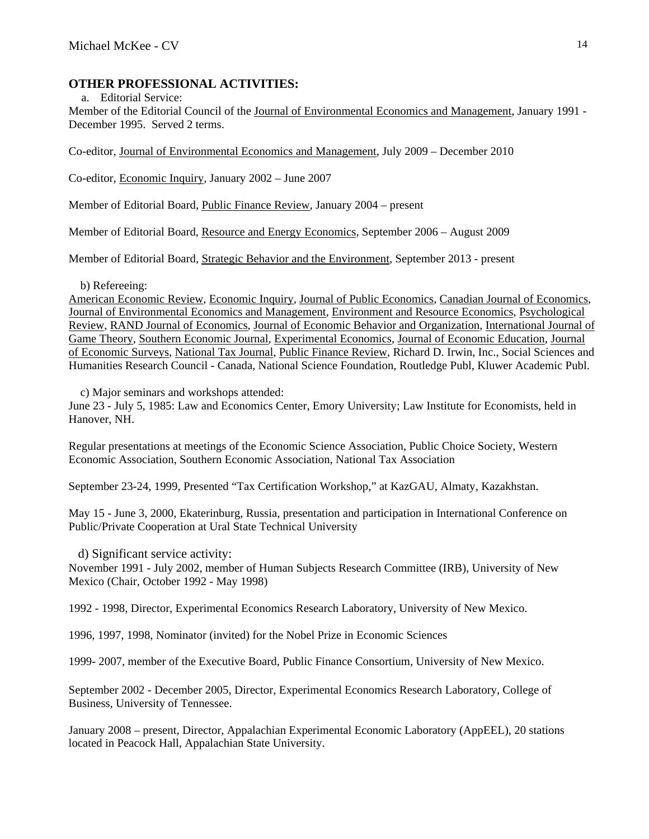## **OTHER PROFESSIONAL ACTIVITIES:**

a. Editorial Service: Member of the Editorial Council of the Journal of Environmental Economics and Management, January 1991 - December 1995. Served 2 terms.

Co-editor, Journal of Environmental Economics and Management, July 2009 – December 2010

Co-editor, Economic Inquiry, January 2002 – June 2007

Member of Editorial Board, Public Finance Review, January 2004 – present

Member of Editorial Board, Resource and Energy Economics, September 2006 – August 2009

Member of Editorial Board, Strategic Behavior and the Environment, September 2013 - present

b) Refereeing:

American Economic Review, Economic Inquiry, Journal of Public Economics, Canadian Journal of Economics, Journal of Environmental Economics and Management, Environment and Resource Economics, Psychological Review, RAND Journal of Economics, Journal of Economic Behavior and Organization, International Journal of Game Theory, Southern Economic Journal, Experimental Economics, Journal of Economic Education, Journal of Economic Surveys, National Tax Journal, Public Finance Review, Richard D. Irwin, Inc., Social Sciences and Humanities Research Council - Canada, National Science Foundation, Routledge Publ, Kluwer Academic Publ.

c) Major seminars and workshops attended:

June 23 - July 5, 1985: Law and Economics Center, Emory University; Law Institute for Economists, held in Hanover, NH.

Regular presentations at meetings of the Economic Science Association, Public Choice Society, Western Economic Association, Southern Economic Association, National Tax Association

September 23-24, 1999, Presented "Tax Certification Workshop," at KazGAU, Almaty, Kazakhstan.

May 15 - June 3, 2000, Ekaterinburg, Russia, presentation and participation in International Conference on Public/Private Cooperation at Ural State Technical University

d) Significant service activity:

November 1991 - July 2002, member of Human Subjects Research Committee (IRB), University of New Mexico (Chair, October 1992 - May 1998)

1992 - 1998, Director, Experimental Economics Research Laboratory, University of New Mexico.

1996, 1997, 1998, Nominator (invited) for the Nobel Prize in Economic Sciences

1999- 2007, member of the Executive Board, Public Finance Consortium, University of New Mexico.

September 2002 - December 2005, Director, Experimental Economics Research Laboratory, College of Business, University of Tennessee.

January 2008 – present, Director, Appalachian Experimental Economic Laboratory (AppEEL), 20 stations located in Peacock Hall, Appalachian State University.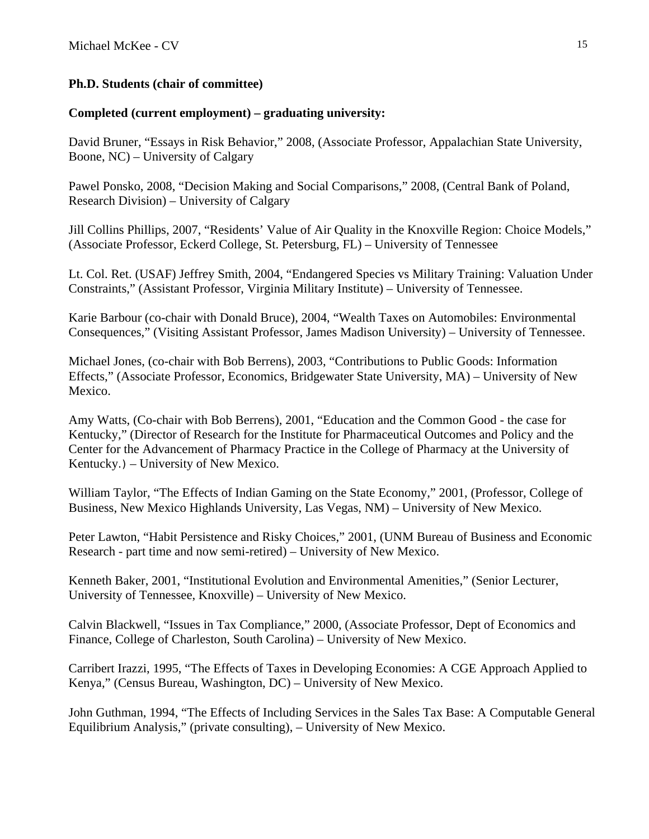# **Ph.D. Students (chair of committee)**

# **Completed (current employment) – graduating university:**

David Bruner, "Essays in Risk Behavior," 2008, (Associate Professor, Appalachian State University, Boone, NC) – University of Calgary

Pawel Ponsko, 2008, "Decision Making and Social Comparisons," 2008, (Central Bank of Poland, Research Division) – University of Calgary

Jill Collins Phillips, 2007, "Residents' Value of Air Quality in the Knoxville Region: Choice Models," (Associate Professor, Eckerd College, St. Petersburg, FL) – University of Tennessee

Lt. Col. Ret. (USAF) Jeffrey Smith, 2004, "Endangered Species vs Military Training: Valuation Under Constraints," (Assistant Professor, Virginia Military Institute) – University of Tennessee.

Karie Barbour (co-chair with Donald Bruce), 2004, "Wealth Taxes on Automobiles: Environmental Consequences," (Visiting Assistant Professor, James Madison University) – University of Tennessee.

Michael Jones, (co-chair with Bob Berrens), 2003, "Contributions to Public Goods: Information Effects," (Associate Professor, Economics, Bridgewater State University, MA) – University of New Mexico.

Amy Watts, (Co-chair with Bob Berrens), 2001, "Education and the Common Good - the case for Kentucky," (Director of Research for the Institute for Pharmaceutical Outcomes and Policy and the Center for the Advancement of Pharmacy Practice in the College of Pharmacy at the University of Kentucky.) – University of New Mexico.

William Taylor, "The Effects of Indian Gaming on the State Economy," 2001, (Professor, College of Business, New Mexico Highlands University, Las Vegas, NM) – University of New Mexico.

Peter Lawton, "Habit Persistence and Risky Choices," 2001, (UNM Bureau of Business and Economic Research - part time and now semi-retired) – University of New Mexico.

Kenneth Baker, 2001, "Institutional Evolution and Environmental Amenities," (Senior Lecturer, University of Tennessee, Knoxville) – University of New Mexico.

Calvin Blackwell, "Issues in Tax Compliance," 2000, (Associate Professor, Dept of Economics and Finance, College of Charleston, South Carolina) – University of New Mexico.

Carribert Irazzi, 1995, "The Effects of Taxes in Developing Economies: A CGE Approach Applied to Kenya," (Census Bureau, Washington, DC) – University of New Mexico.

John Guthman, 1994, "The Effects of Including Services in the Sales Tax Base: A Computable General Equilibrium Analysis," (private consulting), – University of New Mexico.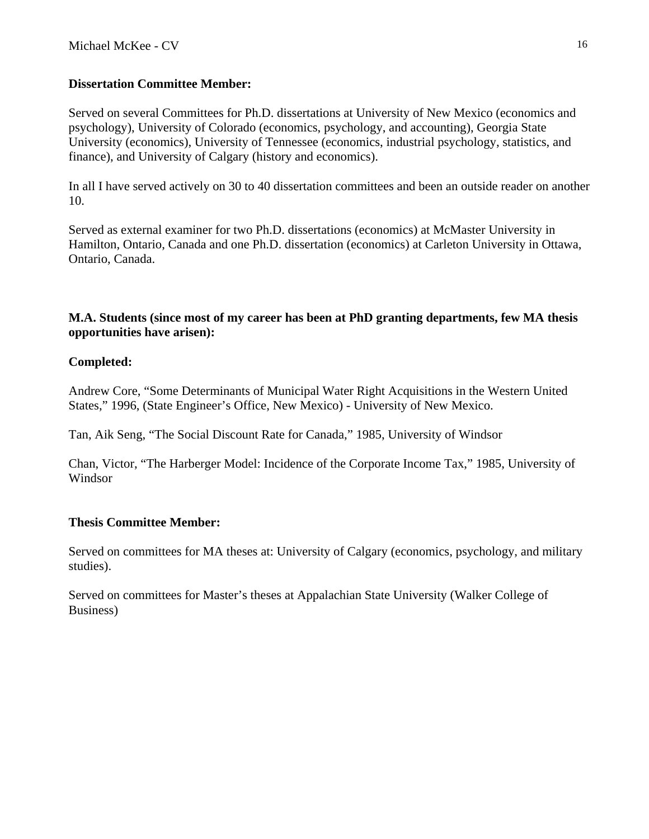# **Dissertation Committee Member:**

Served on several Committees for Ph.D. dissertations at University of New Mexico (economics and psychology), University of Colorado (economics, psychology, and accounting), Georgia State University (economics), University of Tennessee (economics, industrial psychology, statistics, and finance), and University of Calgary (history and economics).

In all I have served actively on 30 to 40 dissertation committees and been an outside reader on another 10.

Served as external examiner for two Ph.D. dissertations (economics) at McMaster University in Hamilton, Ontario, Canada and one Ph.D. dissertation (economics) at Carleton University in Ottawa, Ontario, Canada.

# **M.A. Students (since most of my career has been at PhD granting departments, few MA thesis opportunities have arisen):**

# **Completed:**

Andrew Core, "Some Determinants of Municipal Water Right Acquisitions in the Western United States," 1996, (State Engineer's Office, New Mexico) - University of New Mexico.

Tan, Aik Seng, "The Social Discount Rate for Canada," 1985, University of Windsor

Chan, Victor, "The Harberger Model: Incidence of the Corporate Income Tax," 1985, University of Windsor

# **Thesis Committee Member:**

Served on committees for MA theses at: University of Calgary (economics, psychology, and military studies).

Served on committees for Master's theses at Appalachian State University (Walker College of Business)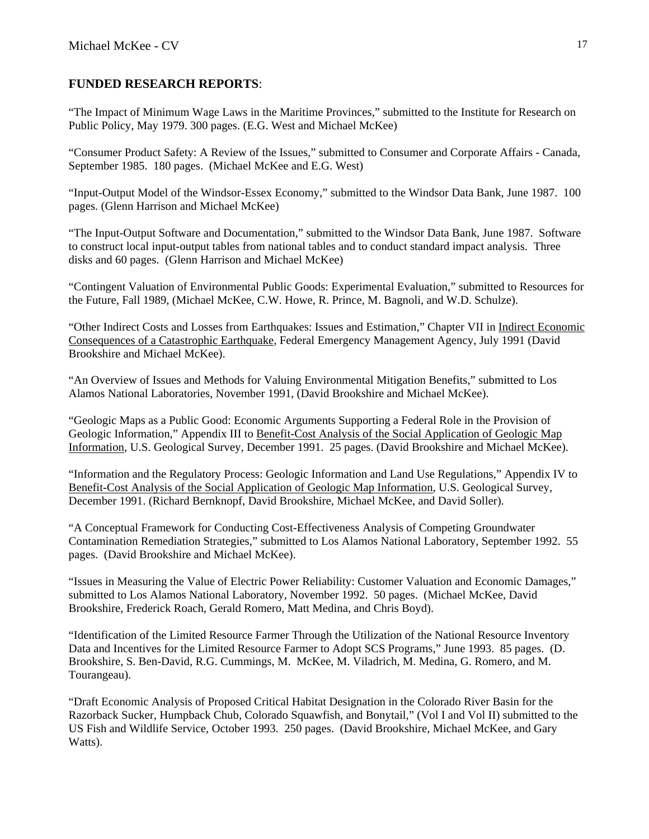## **FUNDED RESEARCH REPORTS**:

"The Impact of Minimum Wage Laws in the Maritime Provinces," submitted to the Institute for Research on Public Policy, May 1979. 300 pages. (E.G. West and Michael McKee)

"Consumer Product Safety: A Review of the Issues," submitted to Consumer and Corporate Affairs - Canada, September 1985. 180 pages. (Michael McKee and E.G. West)

"Input-Output Model of the Windsor-Essex Economy," submitted to the Windsor Data Bank, June 1987. 100 pages. (Glenn Harrison and Michael McKee)

"The Input-Output Software and Documentation," submitted to the Windsor Data Bank, June 1987. Software to construct local input-output tables from national tables and to conduct standard impact analysis. Three disks and 60 pages. (Glenn Harrison and Michael McKee)

"Contingent Valuation of Environmental Public Goods: Experimental Evaluation," submitted to Resources for the Future, Fall 1989, (Michael McKee, C.W. Howe, R. Prince, M. Bagnoli, and W.D. Schulze).

"Other Indirect Costs and Losses from Earthquakes: Issues and Estimation," Chapter VII in Indirect Economic Consequences of a Catastrophic Earthquake, Federal Emergency Management Agency, July 1991 (David Brookshire and Michael McKee).

"An Overview of Issues and Methods for Valuing Environmental Mitigation Benefits," submitted to Los Alamos National Laboratories, November 1991, (David Brookshire and Michael McKee).

"Geologic Maps as a Public Good: Economic Arguments Supporting a Federal Role in the Provision of Geologic Information," Appendix III to Benefit-Cost Analysis of the Social Application of Geologic Map Information, U.S. Geological Survey, December 1991. 25 pages. (David Brookshire and Michael McKee).

"Information and the Regulatory Process: Geologic Information and Land Use Regulations," Appendix IV to Benefit-Cost Analysis of the Social Application of Geologic Map Information, U.S. Geological Survey, December 1991. (Richard Bernknopf, David Brookshire, Michael McKee, and David Soller).

"A Conceptual Framework for Conducting Cost-Effectiveness Analysis of Competing Groundwater Contamination Remediation Strategies," submitted to Los Alamos National Laboratory, September 1992. 55 pages. (David Brookshire and Michael McKee).

"Issues in Measuring the Value of Electric Power Reliability: Customer Valuation and Economic Damages," submitted to Los Alamos National Laboratory, November 1992. 50 pages. (Michael McKee, David Brookshire, Frederick Roach, Gerald Romero, Matt Medina, and Chris Boyd).

"Identification of the Limited Resource Farmer Through the Utilization of the National Resource Inventory Data and Incentives for the Limited Resource Farmer to Adopt SCS Programs," June 1993. 85 pages. (D. Brookshire, S. Ben-David, R.G. Cummings, M. McKee, M. Viladrich, M. Medina, G. Romero, and M. Tourangeau).

"Draft Economic Analysis of Proposed Critical Habitat Designation in the Colorado River Basin for the Razorback Sucker, Humpback Chub, Colorado Squawfish, and Bonytail," (Vol I and Vol II) submitted to the US Fish and Wildlife Service, October 1993. 250 pages. (David Brookshire, Michael McKee, and Gary Watts).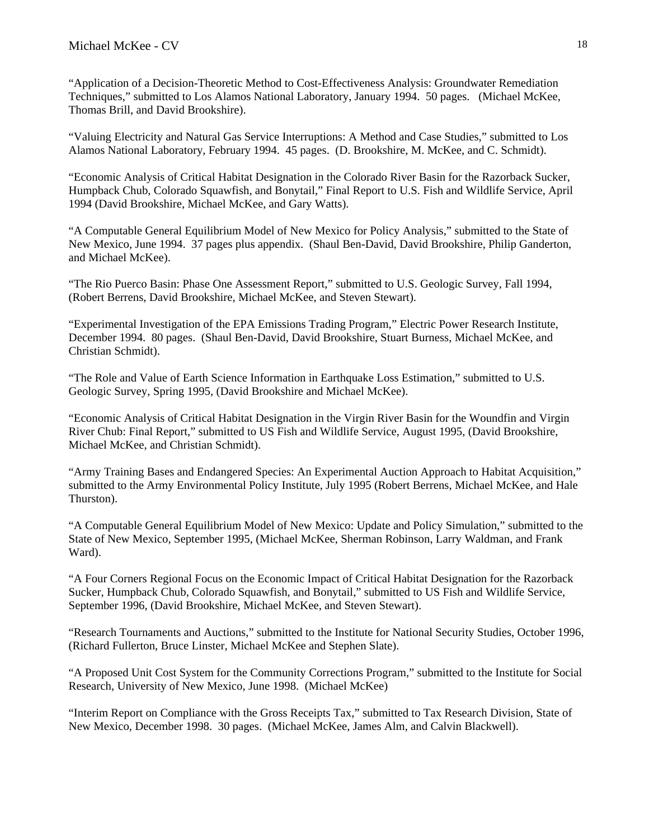"Application of a Decision-Theoretic Method to Cost-Effectiveness Analysis: Groundwater Remediation Techniques," submitted to Los Alamos National Laboratory, January 1994. 50 pages. (Michael McKee, Thomas Brill, and David Brookshire).

"Valuing Electricity and Natural Gas Service Interruptions: A Method and Case Studies," submitted to Los Alamos National Laboratory, February 1994. 45 pages. (D. Brookshire, M. McKee, and C. Schmidt).

"Economic Analysis of Critical Habitat Designation in the Colorado River Basin for the Razorback Sucker, Humpback Chub, Colorado Squawfish, and Bonytail," Final Report to U.S. Fish and Wildlife Service, April 1994 (David Brookshire, Michael McKee, and Gary Watts).

"A Computable General Equilibrium Model of New Mexico for Policy Analysis," submitted to the State of New Mexico, June 1994. 37 pages plus appendix. (Shaul Ben-David, David Brookshire, Philip Ganderton, and Michael McKee).

"The Rio Puerco Basin: Phase One Assessment Report," submitted to U.S. Geologic Survey, Fall 1994, (Robert Berrens, David Brookshire, Michael McKee, and Steven Stewart).

"Experimental Investigation of the EPA Emissions Trading Program," Electric Power Research Institute, December 1994. 80 pages. (Shaul Ben-David, David Brookshire, Stuart Burness, Michael McKee, and Christian Schmidt).

"The Role and Value of Earth Science Information in Earthquake Loss Estimation," submitted to U.S. Geologic Survey, Spring 1995, (David Brookshire and Michael McKee).

"Economic Analysis of Critical Habitat Designation in the Virgin River Basin for the Woundfin and Virgin River Chub: Final Report," submitted to US Fish and Wildlife Service, August 1995, (David Brookshire, Michael McKee, and Christian Schmidt).

"Army Training Bases and Endangered Species: An Experimental Auction Approach to Habitat Acquisition," submitted to the Army Environmental Policy Institute, July 1995 (Robert Berrens, Michael McKee, and Hale Thurston).

"A Computable General Equilibrium Model of New Mexico: Update and Policy Simulation," submitted to the State of New Mexico, September 1995, (Michael McKee, Sherman Robinson, Larry Waldman, and Frank Ward).

"A Four Corners Regional Focus on the Economic Impact of Critical Habitat Designation for the Razorback Sucker, Humpback Chub, Colorado Squawfish, and Bonytail," submitted to US Fish and Wildlife Service, September 1996, (David Brookshire, Michael McKee, and Steven Stewart).

"Research Tournaments and Auctions," submitted to the Institute for National Security Studies, October 1996, (Richard Fullerton, Bruce Linster, Michael McKee and Stephen Slate).

"A Proposed Unit Cost System for the Community Corrections Program," submitted to the Institute for Social Research, University of New Mexico, June 1998. (Michael McKee)

"Interim Report on Compliance with the Gross Receipts Tax," submitted to Tax Research Division, State of New Mexico, December 1998. 30 pages. (Michael McKee, James Alm, and Calvin Blackwell).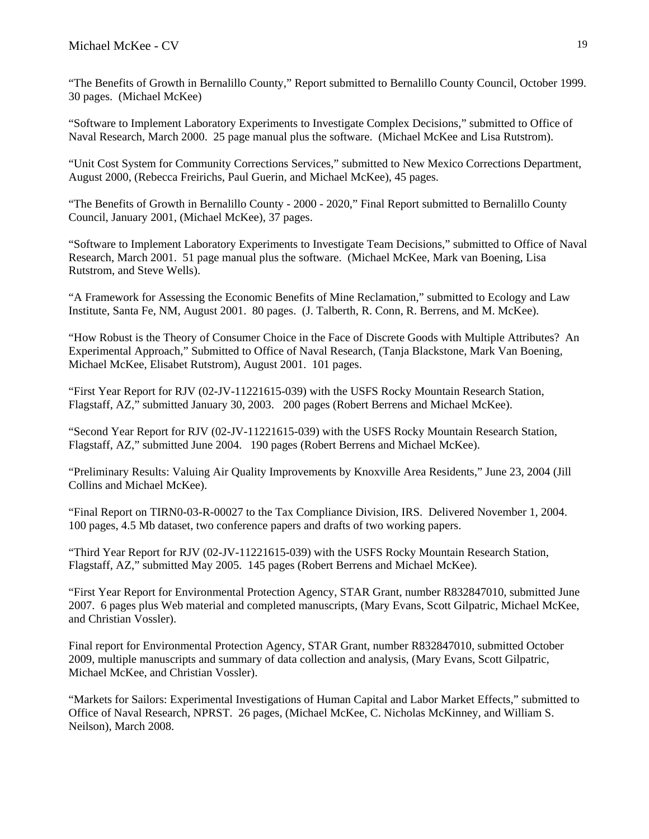"The Benefits of Growth in Bernalillo County," Report submitted to Bernalillo County Council, October 1999. 30 pages. (Michael McKee)

"Software to Implement Laboratory Experiments to Investigate Complex Decisions," submitted to Office of Naval Research, March 2000. 25 page manual plus the software. (Michael McKee and Lisa Rutstrom).

"Unit Cost System for Community Corrections Services," submitted to New Mexico Corrections Department, August 2000, (Rebecca Freirichs, Paul Guerin, and Michael McKee), 45 pages.

"The Benefits of Growth in Bernalillo County - 2000 - 2020," Final Report submitted to Bernalillo County Council, January 2001, (Michael McKee), 37 pages.

"Software to Implement Laboratory Experiments to Investigate Team Decisions," submitted to Office of Naval Research, March 2001. 51 page manual plus the software. (Michael McKee, Mark van Boening, Lisa Rutstrom, and Steve Wells).

"A Framework for Assessing the Economic Benefits of Mine Reclamation," submitted to Ecology and Law Institute, Santa Fe, NM, August 2001. 80 pages. (J. Talberth, R. Conn, R. Berrens, and M. McKee).

"How Robust is the Theory of Consumer Choice in the Face of Discrete Goods with Multiple Attributes? An Experimental Approach," Submitted to Office of Naval Research, (Tanja Blackstone, Mark Van Boening, Michael McKee, Elisabet Rutstrom), August 2001. 101 pages.

"First Year Report for RJV (02-JV-11221615-039) with the USFS Rocky Mountain Research Station, Flagstaff, AZ," submitted January 30, 2003. 200 pages (Robert Berrens and Michael McKee).

"Second Year Report for RJV (02-JV-11221615-039) with the USFS Rocky Mountain Research Station, Flagstaff, AZ," submitted June 2004. 190 pages (Robert Berrens and Michael McKee).

"Preliminary Results: Valuing Air Quality Improvements by Knoxville Area Residents," June 23, 2004 (Jill Collins and Michael McKee).

"Final Report on TIRN0-03-R-00027 to the Tax Compliance Division, IRS. Delivered November 1, 2004. 100 pages, 4.5 Mb dataset, two conference papers and drafts of two working papers.

"Third Year Report for RJV (02-JV-11221615-039) with the USFS Rocky Mountain Research Station, Flagstaff, AZ," submitted May 2005. 145 pages (Robert Berrens and Michael McKee).

"First Year Report for Environmental Protection Agency, STAR Grant, number R832847010, submitted June 2007. 6 pages plus Web material and completed manuscripts, (Mary Evans, Scott Gilpatric, Michael McKee, and Christian Vossler).

Final report for Environmental Protection Agency, STAR Grant, number R832847010, submitted October 2009, multiple manuscripts and summary of data collection and analysis, (Mary Evans, Scott Gilpatric, Michael McKee, and Christian Vossler).

"Markets for Sailors: Experimental Investigations of Human Capital and Labor Market Effects," submitted to Office of Naval Research, NPRST. 26 pages, (Michael McKee, C. Nicholas McKinney, and William S. Neilson), March 2008.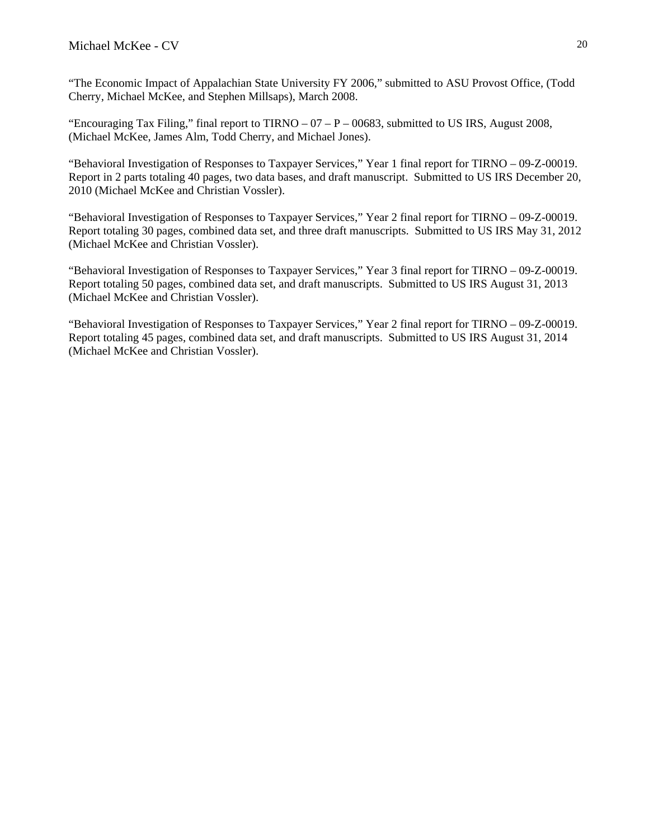"The Economic Impact of Appalachian State University FY 2006," submitted to ASU Provost Office, (Todd Cherry, Michael McKee, and Stephen Millsaps), March 2008.

"Encouraging Tax Filing," final report to TIRNO  $-07 - P - 00683$ , submitted to US IRS, August 2008, (Michael McKee, James Alm, Todd Cherry, and Michael Jones).

"Behavioral Investigation of Responses to Taxpayer Services," Year 1 final report for TIRNO – 09-Z-00019. Report in 2 parts totaling 40 pages, two data bases, and draft manuscript. Submitted to US IRS December 20, 2010 (Michael McKee and Christian Vossler).

"Behavioral Investigation of Responses to Taxpayer Services," Year 2 final report for TIRNO – 09-Z-00019. Report totaling 30 pages, combined data set, and three draft manuscripts. Submitted to US IRS May 31, 2012 (Michael McKee and Christian Vossler).

"Behavioral Investigation of Responses to Taxpayer Services," Year 3 final report for TIRNO – 09-Z-00019. Report totaling 50 pages, combined data set, and draft manuscripts. Submitted to US IRS August 31, 2013 (Michael McKee and Christian Vossler).

"Behavioral Investigation of Responses to Taxpayer Services," Year 2 final report for TIRNO – 09-Z-00019. Report totaling 45 pages, combined data set, and draft manuscripts. Submitted to US IRS August 31, 2014 (Michael McKee and Christian Vossler).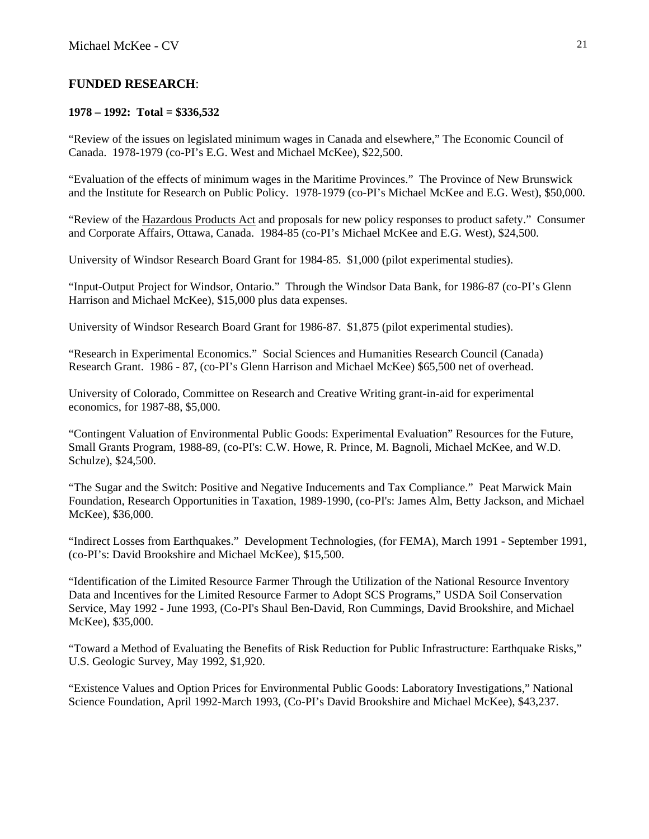## **FUNDED RESEARCH**:

### **1978 – 1992: Total = \$336,532**

"Review of the issues on legislated minimum wages in Canada and elsewhere," The Economic Council of Canada. 1978-1979 (co-PI's E.G. West and Michael McKee), \$22,500.

"Evaluation of the effects of minimum wages in the Maritime Provinces." The Province of New Brunswick and the Institute for Research on Public Policy. 1978-1979 (co-PI's Michael McKee and E.G. West), \$50,000.

"Review of the Hazardous Products Act and proposals for new policy responses to product safety." Consumer and Corporate Affairs, Ottawa, Canada. 1984-85 (co-PI's Michael McKee and E.G. West), \$24,500.

University of Windsor Research Board Grant for 1984-85. \$1,000 (pilot experimental studies).

"Input-Output Project for Windsor, Ontario." Through the Windsor Data Bank, for 1986-87 (co-PI's Glenn Harrison and Michael McKee), \$15,000 plus data expenses.

University of Windsor Research Board Grant for 1986-87. \$1,875 (pilot experimental studies).

"Research in Experimental Economics." Social Sciences and Humanities Research Council (Canada) Research Grant. 1986 - 87, (co-PI's Glenn Harrison and Michael McKee) \$65,500 net of overhead.

University of Colorado, Committee on Research and Creative Writing grant-in-aid for experimental economics, for 1987-88, \$5,000.

"Contingent Valuation of Environmental Public Goods: Experimental Evaluation" Resources for the Future, Small Grants Program, 1988-89, (co-PI's: C.W. Howe, R. Prince, M. Bagnoli, Michael McKee, and W.D. Schulze), \$24,500.

"The Sugar and the Switch: Positive and Negative Inducements and Tax Compliance." Peat Marwick Main Foundation, Research Opportunities in Taxation, 1989-1990, (co-PI's: James Alm, Betty Jackson, and Michael McKee), \$36,000.

"Indirect Losses from Earthquakes." Development Technologies, (for FEMA), March 1991 - September 1991, (co-PI's: David Brookshire and Michael McKee), \$15,500.

"Identification of the Limited Resource Farmer Through the Utilization of the National Resource Inventory Data and Incentives for the Limited Resource Farmer to Adopt SCS Programs," USDA Soil Conservation Service, May 1992 - June 1993, (Co-PI's Shaul Ben-David, Ron Cummings, David Brookshire, and Michael McKee), \$35,000.

"Toward a Method of Evaluating the Benefits of Risk Reduction for Public Infrastructure: Earthquake Risks," U.S. Geologic Survey, May 1992, \$1,920.

"Existence Values and Option Prices for Environmental Public Goods: Laboratory Investigations," National Science Foundation, April 1992-March 1993, (Co-PI's David Brookshire and Michael McKee), \$43,237.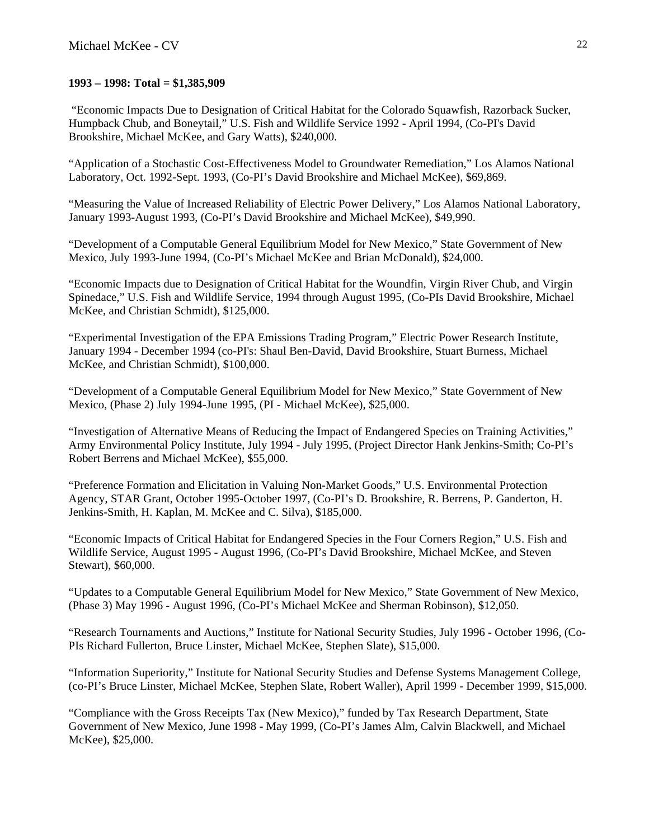### **1993 – 1998: Total = \$1,385,909**

 "Economic Impacts Due to Designation of Critical Habitat for the Colorado Squawfish, Razorback Sucker, Humpback Chub, and Boneytail," U.S. Fish and Wildlife Service 1992 - April 1994, (Co-PI's David Brookshire, Michael McKee, and Gary Watts), \$240,000.

"Application of a Stochastic Cost-Effectiveness Model to Groundwater Remediation," Los Alamos National Laboratory, Oct. 1992-Sept. 1993, (Co-PI's David Brookshire and Michael McKee), \$69,869.

"Measuring the Value of Increased Reliability of Electric Power Delivery," Los Alamos National Laboratory, January 1993-August 1993, (Co-PI's David Brookshire and Michael McKee), \$49,990.

"Development of a Computable General Equilibrium Model for New Mexico," State Government of New Mexico, July 1993-June 1994, (Co-PI's Michael McKee and Brian McDonald), \$24,000.

"Economic Impacts due to Designation of Critical Habitat for the Woundfin, Virgin River Chub, and Virgin Spinedace," U.S. Fish and Wildlife Service, 1994 through August 1995, (Co-PIs David Brookshire, Michael McKee, and Christian Schmidt), \$125,000.

"Experimental Investigation of the EPA Emissions Trading Program," Electric Power Research Institute, January 1994 - December 1994 (co-PI's: Shaul Ben-David, David Brookshire, Stuart Burness, Michael McKee, and Christian Schmidt), \$100,000.

"Development of a Computable General Equilibrium Model for New Mexico," State Government of New Mexico, (Phase 2) July 1994-June 1995, (PI - Michael McKee), \$25,000.

"Investigation of Alternative Means of Reducing the Impact of Endangered Species on Training Activities," Army Environmental Policy Institute, July 1994 - July 1995, (Project Director Hank Jenkins-Smith; Co-PI's Robert Berrens and Michael McKee), \$55,000.

"Preference Formation and Elicitation in Valuing Non-Market Goods," U.S. Environmental Protection Agency, STAR Grant, October 1995-October 1997, (Co-PI's D. Brookshire, R. Berrens, P. Ganderton, H. Jenkins-Smith, H. Kaplan, M. McKee and C. Silva), \$185,000.

"Economic Impacts of Critical Habitat for Endangered Species in the Four Corners Region," U.S. Fish and Wildlife Service, August 1995 - August 1996, (Co-PI's David Brookshire, Michael McKee, and Steven Stewart), \$60,000.

"Updates to a Computable General Equilibrium Model for New Mexico," State Government of New Mexico, (Phase 3) May 1996 - August 1996, (Co-PI's Michael McKee and Sherman Robinson), \$12,050.

"Research Tournaments and Auctions," Institute for National Security Studies, July 1996 - October 1996, (Co-PIs Richard Fullerton, Bruce Linster, Michael McKee, Stephen Slate), \$15,000.

"Information Superiority," Institute for National Security Studies and Defense Systems Management College, (co-PI's Bruce Linster, Michael McKee, Stephen Slate, Robert Waller), April 1999 - December 1999, \$15,000.

"Compliance with the Gross Receipts Tax (New Mexico)," funded by Tax Research Department, State Government of New Mexico, June 1998 - May 1999, (Co-PI's James Alm, Calvin Blackwell, and Michael McKee), \$25,000.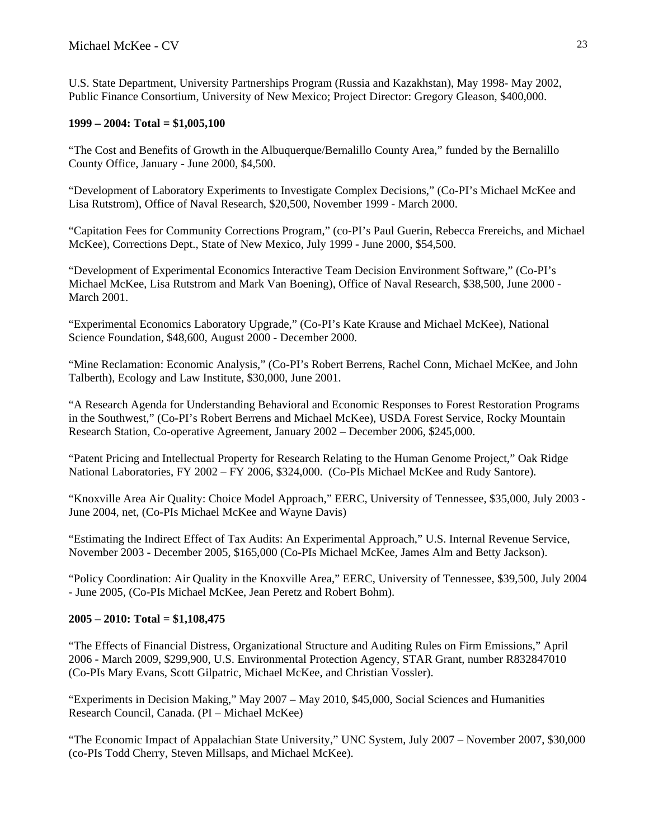U.S. State Department, University Partnerships Program (Russia and Kazakhstan), May 1998- May 2002, Public Finance Consortium, University of New Mexico; Project Director: Gregory Gleason, \$400,000.

### **1999 – 2004: Total = \$1,005,100**

"The Cost and Benefits of Growth in the Albuquerque/Bernalillo County Area," funded by the Bernalillo County Office, January - June 2000, \$4,500.

"Development of Laboratory Experiments to Investigate Complex Decisions," (Co-PI's Michael McKee and Lisa Rutstrom), Office of Naval Research, \$20,500, November 1999 - March 2000.

"Capitation Fees for Community Corrections Program," (co-PI's Paul Guerin, Rebecca Frereichs, and Michael McKee), Corrections Dept., State of New Mexico, July 1999 - June 2000, \$54,500.

"Development of Experimental Economics Interactive Team Decision Environment Software," (Co-PI's Michael McKee, Lisa Rutstrom and Mark Van Boening), Office of Naval Research, \$38,500, June 2000 - March 2001.

"Experimental Economics Laboratory Upgrade," (Co-PI's Kate Krause and Michael McKee), National Science Foundation, \$48,600, August 2000 - December 2000.

"Mine Reclamation: Economic Analysis," (Co-PI's Robert Berrens, Rachel Conn, Michael McKee, and John Talberth), Ecology and Law Institute, \$30,000, June 2001.

"A Research Agenda for Understanding Behavioral and Economic Responses to Forest Restoration Programs in the Southwest," (Co-PI's Robert Berrens and Michael McKee), USDA Forest Service, Rocky Mountain Research Station, Co-operative Agreement, January 2002 – December 2006, \$245,000.

"Patent Pricing and Intellectual Property for Research Relating to the Human Genome Project," Oak Ridge National Laboratories, FY 2002 – FY 2006, \$324,000. (Co-PIs Michael McKee and Rudy Santore).

"Knoxville Area Air Quality: Choice Model Approach," EERC, University of Tennessee, \$35,000, July 2003 - June 2004, net, (Co-PIs Michael McKee and Wayne Davis)

"Estimating the Indirect Effect of Tax Audits: An Experimental Approach," U.S. Internal Revenue Service, November 2003 - December 2005, \$165,000 (Co-PIs Michael McKee, James Alm and Betty Jackson).

"Policy Coordination: Air Quality in the Knoxville Area," EERC, University of Tennessee, \$39,500, July 2004 - June 2005, (Co-PIs Michael McKee, Jean Peretz and Robert Bohm).

### **2005 – 2010: Total = \$1,108,475**

"The Effects of Financial Distress, Organizational Structure and Auditing Rules on Firm Emissions," April 2006 - March 2009, \$299,900, U.S. Environmental Protection Agency, STAR Grant, number R832847010 (Co-PIs Mary Evans, Scott Gilpatric, Michael McKee, and Christian Vossler).

"Experiments in Decision Making," May 2007 – May 2010, \$45,000, Social Sciences and Humanities Research Council, Canada. (PI – Michael McKee)

"The Economic Impact of Appalachian State University," UNC System, July 2007 – November 2007, \$30,000 (co-PIs Todd Cherry, Steven Millsaps, and Michael McKee).